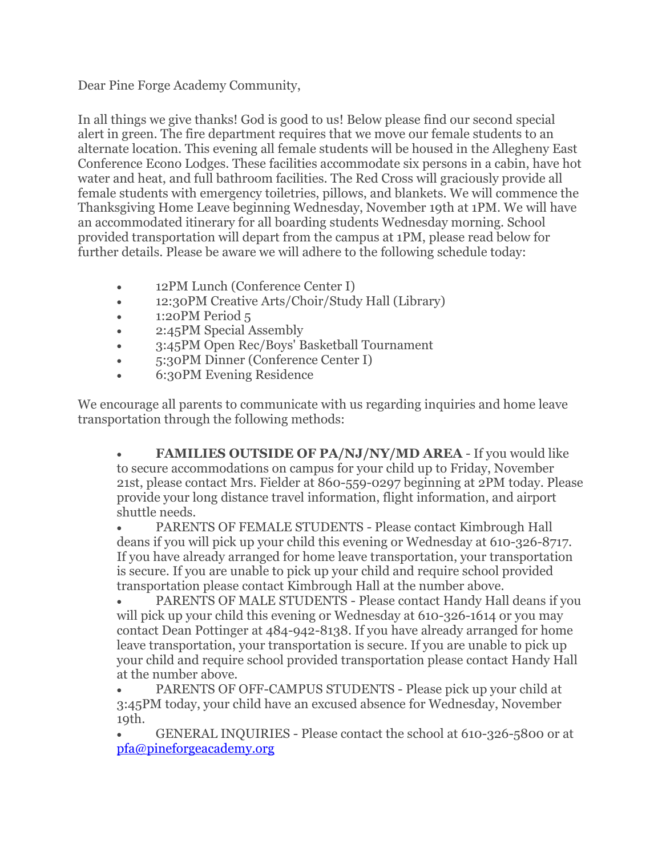Dear Pine Forge Academy Community,

In all things we give thanks! God is good to us! Below please find our second special alert in green. The fire department requires that we move our female students to an alternate location. This evening all female students will be housed in the Allegheny East Conference Econo Lodges. These facilities accommodate six persons in a cabin, have hot water and heat, and full bathroom facilities. The Red Cross will graciously provide all female students with emergency toiletries, pillows, and blankets. We will commence the Thanksgiving Home Leave beginning Wednesday, November 19th at 1PM. We will have an accommodated itinerary for all boarding students Wednesday morning. School provided transportation will depart from the campus at 1PM, please read below for further details. Please be aware we will adhere to the following schedule today:

- 12PM Lunch (Conference Center I)
- 12:30PM Creative Arts/Choir/Study Hall (Library)
- 1:20PM Period 5
- 2:45PM Special Assembly
- 3:45PM Open Rec/Boys' Basketball Tournament
- 5:30PM Dinner (Conference Center I)
- 6:30PM Evening Residence

We encourage all parents to communicate with us regarding inquiries and home leave transportation through the following methods:

 **FAMILIES OUTSIDE OF PA/NJ/NY/MD AREA** - If you would like to secure accommodations on campus for your child up to Friday, November 21st, please contact Mrs. Fielder at 860-559-0297 beginning at 2PM today. Please provide your long distance travel information, flight information, and airport shuttle needs.

 PARENTS OF FEMALE STUDENTS - Please contact Kimbrough Hall deans if you will pick up your child this evening or Wednesday at 610-326-8717. If you have already arranged for home leave transportation, your transportation is secure. If you are unable to pick up your child and require school provided transportation please contact Kimbrough Hall at the number above.

 PARENTS OF MALE STUDENTS - Please contact Handy Hall deans if you will pick up your child this evening or Wednesday at 610-326-1614 or you may contact Dean Pottinger at 484-942-8138. If you have already arranged for home leave transportation, your transportation is secure. If you are unable to pick up your child and require school provided transportation please contact Handy Hall at the number above.

 PARENTS OF OFF-CAMPUS STUDENTS - Please pick up your child at 3:45PM today, your child have an excused absence for Wednesday, November 19th.

 GENERAL INQUIRIES - Please contact the school at 610-326-5800 or at [pfa@pineforgeacademy.org](mailto:pfa@pineforgeacademy.org)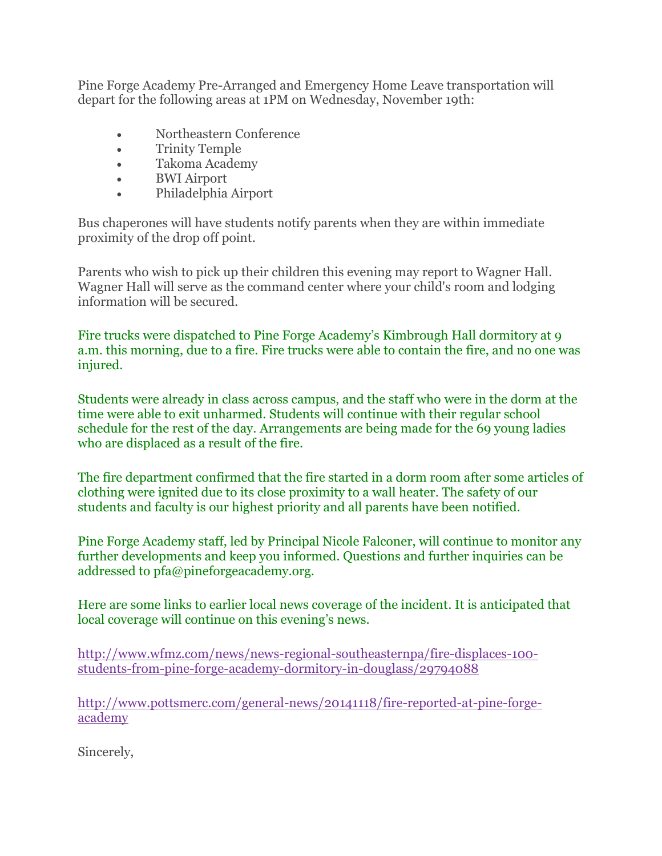Pine Forge Academy Pre-Arranged and Emergency Home Leave transportation will depart for the following areas at 1PM on Wednesday, November 19th:

- Northeastern Conference
- Trinity Temple
- Takoma Academy
- BWI Airport
- Philadelphia Airport

Bus chaperones will have students notify parents when they are within immediate proximity of the drop off point.

Parents who wish to pick up their children this evening may report to Wagner Hall. Wagner Hall will serve as the command center where your child's room and lodging information will be secured.

Fire trucks were dispatched to Pine Forge Academy's Kimbrough Hall dormitory at 9 a.m. this morning, due to a fire. Fire trucks were able to contain the fire, and no one was injured.

Students were already in class across campus, and the staff who were in the dorm at the time were able to exit unharmed. Students will continue with their regular school schedule for the rest of the day. Arrangements are being made for the 69 young ladies who are displaced as a result of the fire.

The fire department confirmed that the fire started in a dorm room after some articles of clothing were ignited due to its close proximity to a wall heater. The safety of our students and faculty is our highest priority and all parents have been notified.

Pine Forge Academy staff, led by Principal Nicole Falconer, will continue to monitor any further developments and keep you informed. Questions and further inquiries can be addressed to pfa@pineforgeacademy.org.

Here are some links to earlier local news coverage of the incident. It is anticipated that local coverage will continue on this evening's news.

[http://www.wfmz.com/news/news-regional-southeasternpa/fire-displaces-100](http://www.wfmz.com/news/news-regional-southeasternpa/fire-displaces-100-students-from-pine-forge-academy-dormitory-in-douglass/29794088) [students-from-pine-forge-academy-dormitory-in-douglass/29794088](http://www.wfmz.com/news/news-regional-southeasternpa/fire-displaces-100-students-from-pine-forge-academy-dormitory-in-douglass/29794088)

[http://www.pottsmerc.com/general-news/20141118/fire-reported-at-pine-forge](http://www.pottsmerc.com/general-news/20141118/fire-reported-at-pine-forge-academy)[academy](http://www.pottsmerc.com/general-news/20141118/fire-reported-at-pine-forge-academy)

Sincerely,